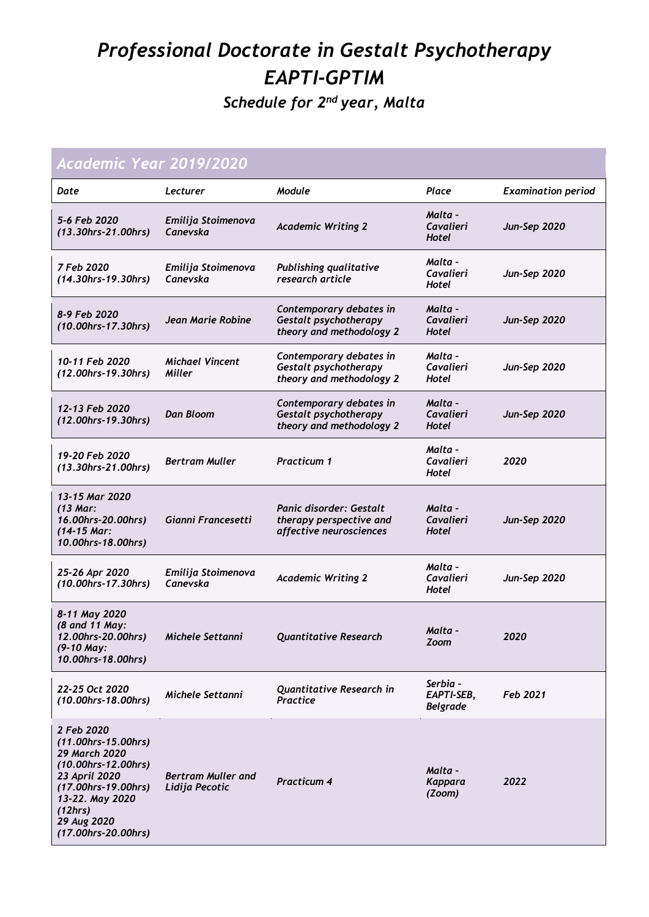# *Professional Doctorate in Gestalt Psychotherapy EAPTI-GPTIM*

*Schedule for 2nd year, Malta*

#### *Academic Year 2019/2020*

| Date                                                                                                                                                                                  | Lecturer                             | Module                                                                              | Place                                     | <b>Examination period</b> |
|---------------------------------------------------------------------------------------------------------------------------------------------------------------------------------------|--------------------------------------|-------------------------------------------------------------------------------------|-------------------------------------------|---------------------------|
| 5-6 Feb 2020<br>$(13.30$ hrs-21.00hrs)                                                                                                                                                | Emilija Stoimenova<br>Canevska       | <b>Academic Writing 2</b>                                                           | Malta -<br>Cavalieri<br><b>Hotel</b>      | <b>Jun-Sep 2020</b>       |
| 7 Feb 2020<br>$(14.30$ hrs-19.30hrs)                                                                                                                                                  | Emilija Stoimenova<br>Canevska       | Publishing qualitative<br>research article                                          | Malta -<br>Cavalieri<br><b>Hotel</b>      | Jun-Sep 2020              |
| 8-9 Feb 2020<br>$(10.00$ hrs-17.30hrs)                                                                                                                                                | Jean Marie Robine                    | Contemporary debates in<br><b>Gestalt psychotherapy</b><br>theory and methodology 2 | Malta -<br>Cavalieri<br>Hotel             | Jun-Sep 2020              |
| 10-11 Feb 2020<br>(12.00hrs-19.30hrs)                                                                                                                                                 | <b>Michael Vincent</b><br>Miller     | Contemporary debates in<br>Gestalt psychotherapy<br>theory and methodology 2        | Malta -<br>Cavalieri<br><b>Hotel</b>      | Jun-Sep 2020              |
| 12-13 Feb 2020<br>(12.00hrs-19.30hrs)                                                                                                                                                 | <b>Dan Bloom</b>                     | Contemporary debates in<br><b>Gestalt psychotherapy</b><br>theory and methodology 2 | Malta -<br>Cavalieri<br><b>Hotel</b>      | Jun-Sep 2020              |
| 19-20 Feb 2020<br>$(13.30$ hrs-21.00hrs)                                                                                                                                              | <b>Bertram Muller</b>                | <b>Practicum 1</b>                                                                  | Malta -<br>Cavalieri<br>Hotel             | 2020                      |
| 13-15 Mar 2020<br>$(13$ Mar:<br>16.00hrs-20.00hrs)<br>$(14 - 15$ Mar:<br>10.00hrs-18.00hrs)                                                                                           | Gianni Francesetti                   | Panic disorder: Gestalt<br>therapy perspective and<br>affective neurosciences       | Malta -<br>Cavalieri<br>Hotel             | Jun-Sep 2020              |
| 25-26 Apr 2020<br>(10.00hrs-17.30hrs)                                                                                                                                                 | Emilija Stoimenova<br>Canevska       | <b>Academic Writing 2</b>                                                           | Malta -<br>Cavalieri<br>Hotel             | Jun-Sep 2020              |
| 8-11 May 2020<br>(8 and 11 May:<br>12.00hrs-20.00hrs)<br>(9-10 May:<br>10.00hrs-18.00hrs)                                                                                             | Michele Settanni                     | <b>Quantitative Research</b>                                                        | Malta -<br>Zoom                           | 2020                      |
| 22-25 Oct 2020<br>(10.00hrs-18.00hrs)                                                                                                                                                 | Michele Settanni                     | Quantitative Research in<br>Practice                                                | Serbia -<br>EAPTI-SEB,<br><b>Belgrade</b> | Feb 2021                  |
| 2 Feb 2020<br>(11.00hrs-15.00hrs)<br>29 March 2020<br>(10.00hrs-12.00hrs)<br>23 April 2020<br>(17.00hrs-19.00hrs)<br>13-22. May 2020<br>(12hrs)<br>29 Aug 2020<br>(17.00hrs-20.00hrs) | Bertram Muller and<br>Lidija Pecotic | <b>Practicum 4</b>                                                                  | Malta -<br>Kappara<br>(Zoom)              | 2022                      |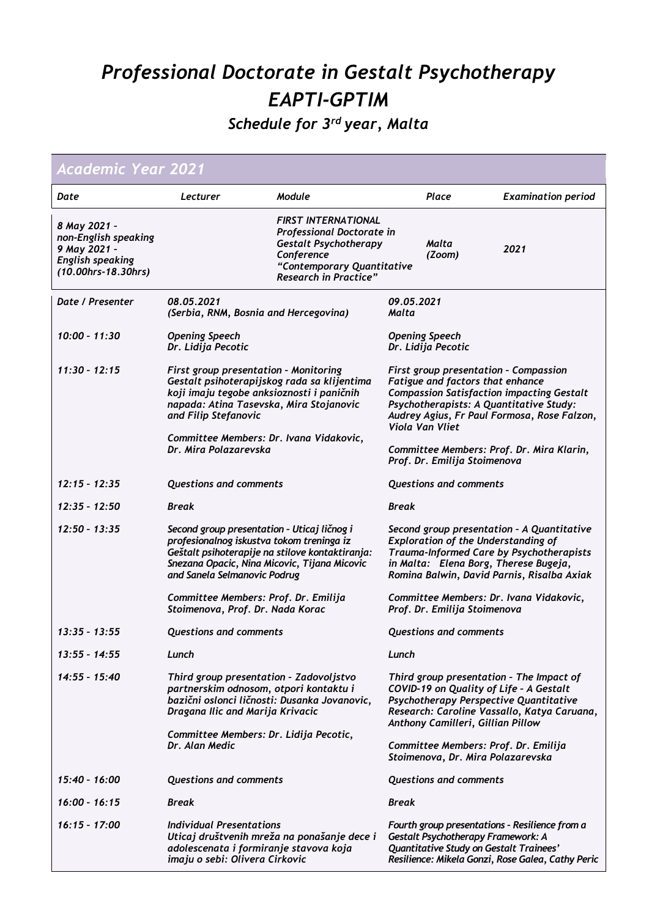## *Professional Doctorate in Gestalt Psychotherapy EAPTI-GPTIM*

#### *Schedule for 3rd year, Malta*

| Academic Year 2021                                                                                     |                                                                                                                                                                                                                                                                                                         |        |                                                                                                                                                                                                                                            |                           |  |  |
|--------------------------------------------------------------------------------------------------------|---------------------------------------------------------------------------------------------------------------------------------------------------------------------------------------------------------------------------------------------------------------------------------------------------------|--------|--------------------------------------------------------------------------------------------------------------------------------------------------------------------------------------------------------------------------------------------|---------------------------|--|--|
| Date                                                                                                   | Lecturer                                                                                                                                                                                                                                                                                                | Module | Place                                                                                                                                                                                                                                      | <b>Examination period</b> |  |  |
| 8 May 2021 -<br>non-English speaking<br>9 May 2021 -<br><b>English speaking</b><br>(10.00hrs-18.30hrs) | <b>FIRST INTERNATIONAL</b><br>Professional Doctorate in<br><b>Gestalt Psychotherapy</b><br>Conference<br>"Contemporary Quantitative<br><b>Research in Practice"</b>                                                                                                                                     |        | Malta<br>(Zoom)                                                                                                                                                                                                                            | 2021                      |  |  |
| Date / Presenter                                                                                       | 08.05.2021<br>(Serbia, RNM, Bosnia and Hercegovina)                                                                                                                                                                                                                                                     |        | 09.05.2021<br>Malta                                                                                                                                                                                                                        |                           |  |  |
| $10:00 - 11:30$                                                                                        | <b>Opening Speech</b><br>Dr. Lidija Pecotic                                                                                                                                                                                                                                                             |        | <b>Opening Speech</b><br>Dr. Lidija Pecotic                                                                                                                                                                                                |                           |  |  |
| $11:30 - 12:15$                                                                                        | First group presentation - Monitoring<br>Gestalt psihoterapijskog rada sa klijentima<br>koji imaju tegobe anksioznosti i paničnih<br>napada: Atina Tasevska, Mira Stojanovic<br>and Filip Stefanovic<br>Committee Members: Dr. Ivana Vidakovic,<br>Dr. Mira Polazarevska                                |        | First group presentation - Compassion<br>Fatigue and factors that enhance<br><b>Compassion Satisfaction impacting Gestalt</b><br>Psychotherapists: A Quantitative Study:<br>Audrey Agius, Fr Paul Formosa, Rose Falzon,<br>Viola Van Vliet |                           |  |  |
|                                                                                                        |                                                                                                                                                                                                                                                                                                         |        | Committee Members: Prof. Dr. Mira Klarin,<br>Prof. Dr. Emilija Stoimenova                                                                                                                                                                  |                           |  |  |
| $12:15 - 12:35$                                                                                        | <b>Questions and comments</b>                                                                                                                                                                                                                                                                           |        | <b>Questions and comments</b>                                                                                                                                                                                                              |                           |  |  |
| $12:35 - 12:50$                                                                                        | <b>Break</b>                                                                                                                                                                                                                                                                                            |        | <b>Break</b>                                                                                                                                                                                                                               |                           |  |  |
| $12:50 - 13:35$                                                                                        | Second group presentation - Uticaj ličnog i<br>profesionalnog iskustva tokom treninga iz<br>Geštalt psihoterapije na stilove kontaktiranja:<br>Snezana Opacic, Nina Micovic, Tijana Micovic<br>and Sanela Selmanovic Podrug<br>Committee Members: Prof. Dr. Emilija<br>Stoimenova, Prof. Dr. Nada Korac |        | Second group presentation - A Quantitative<br><b>Exploration of the Understanding of</b><br>Trauma-Informed Care by Psychotherapists<br>in Malta: Elena Borg, Therese Bugeja,<br>Romina Balwin, David Parnis, Risalba Axiak                |                           |  |  |
|                                                                                                        |                                                                                                                                                                                                                                                                                                         |        | Committee Members: Dr. Ivana Vidakovic,<br>Prof. Dr. Emilija Stoimenova                                                                                                                                                                    |                           |  |  |
| $13:35 - 13:55$                                                                                        | <b>Questions and comments</b>                                                                                                                                                                                                                                                                           |        | <b>Questions and comments</b>                                                                                                                                                                                                              |                           |  |  |
| $13:55 - 14:55$                                                                                        | Lunch                                                                                                                                                                                                                                                                                                   |        | Lunch                                                                                                                                                                                                                                      |                           |  |  |
| $14:55 - 15:40$                                                                                        | Third group presentation - Zadovoljstvo<br>partnerskim odnosom, otpori kontaktu i<br>bazični oslonci ličnosti: Dusanka Jovanovic,<br>Dragana Ilic and Marija Krivacic<br>Committee Members: Dr. Lidija Pecotic,<br>Dr. Alan Medic                                                                       |        | Third group presentation - The Impact of<br>COVID-19 on Quality of Life - A Gestalt<br>Psychotherapy Perspective Quantitative<br>Research: Caroline Vassallo, Katya Caruana,<br>Anthony Camilleri, Gillian Pillow                          |                           |  |  |
|                                                                                                        |                                                                                                                                                                                                                                                                                                         |        | Committee Members: Prof. Dr. Emilija<br>Stoimenova, Dr. Mira Polazarevska                                                                                                                                                                  |                           |  |  |
| $15:40 - 16:00$                                                                                        | <b>Questions and comments</b>                                                                                                                                                                                                                                                                           |        | <b>Questions and comments</b>                                                                                                                                                                                                              |                           |  |  |
| $16:00 - 16:15$                                                                                        | <b>Break</b>                                                                                                                                                                                                                                                                                            |        |                                                                                                                                                                                                                                            | <b>Break</b>              |  |  |
| $16:15 - 17:00$                                                                                        | Individual Presentations<br>Uticaj društvenih mreža na ponašanje dece i<br>adolescenata i formiranje stavova koja<br>imaju o sebi: Olivera Cirkovic                                                                                                                                                     |        | Fourth group presentations - Resilience from a<br>Gestalt Psychotherapy Framework: A<br>Quantitative Study on Gestalt Trainees'<br>Resilience: Mikela Gonzi, Rose Galea, Cathy Peric                                                       |                           |  |  |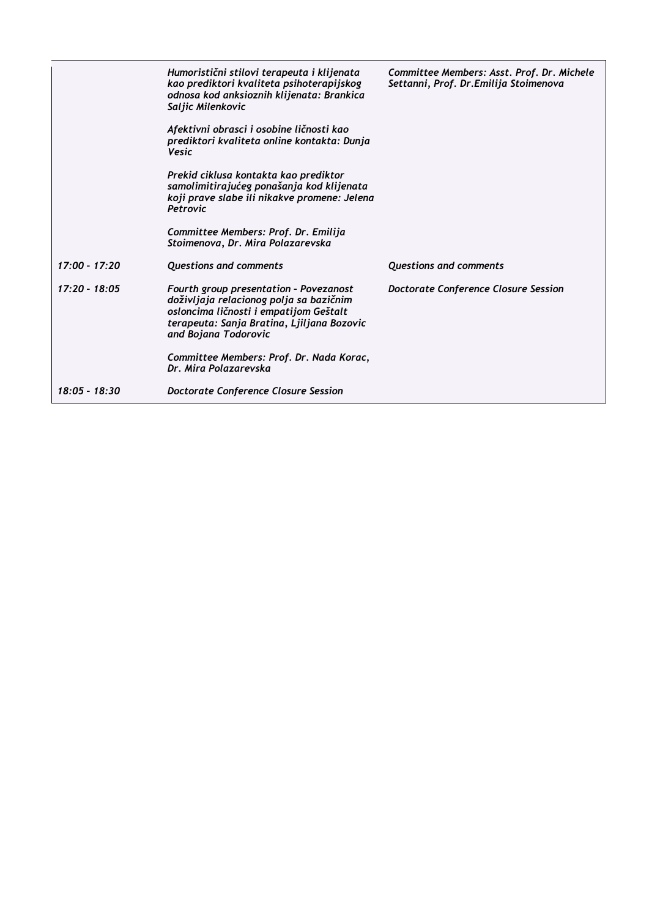|                 | Humoristični stilovi terapeuta i klijenata<br>kao prediktori kvaliteta psihoterapijskog<br>odnosa kod anksioznih klijenata: Brankica<br>Saljic Milenkovic                                         | Committee Members: Asst. Prof. Dr. Michele<br>Settanni, Prof. Dr. Emilija Stoimenova |  |  |
|-----------------|---------------------------------------------------------------------------------------------------------------------------------------------------------------------------------------------------|--------------------------------------------------------------------------------------|--|--|
|                 | Afektivni obrasci i osobine ličnosti kao<br>prediktori kvaliteta online kontakta: Dunja<br>Vesic                                                                                                  |                                                                                      |  |  |
|                 | Prekid ciklusa kontakta kao prediktor<br>samolimitirajućeg ponašanja kod klijenata<br>koji prave slabe ili nikakve promene: Jelena<br>Petrovic                                                    |                                                                                      |  |  |
|                 | Committee Members: Prof. Dr. Emilija<br>Stoimenova, Dr. Mira Polazarevska                                                                                                                         |                                                                                      |  |  |
| $17:00 - 17:20$ | <b>Questions and comments</b>                                                                                                                                                                     | <b>Questions and comments</b>                                                        |  |  |
| $17:20 - 18:05$ | Fourth group presentation - Povezanost<br>doživljaja relacionog polja sa bazičnim<br>osloncima ličnosti i empatijom Geštalt<br>terapeuta: Sanja Bratina, Ljiljana Bozovic<br>and Bojana Todorovic | <b>Doctorate Conference Closure Session</b>                                          |  |  |
|                 | Committee Members: Prof. Dr. Nada Korac,<br>Dr. Mira Polazarevska                                                                                                                                 |                                                                                      |  |  |
| $18:05 - 18:30$ | Doctorate Conference Closure Session                                                                                                                                                              |                                                                                      |  |  |